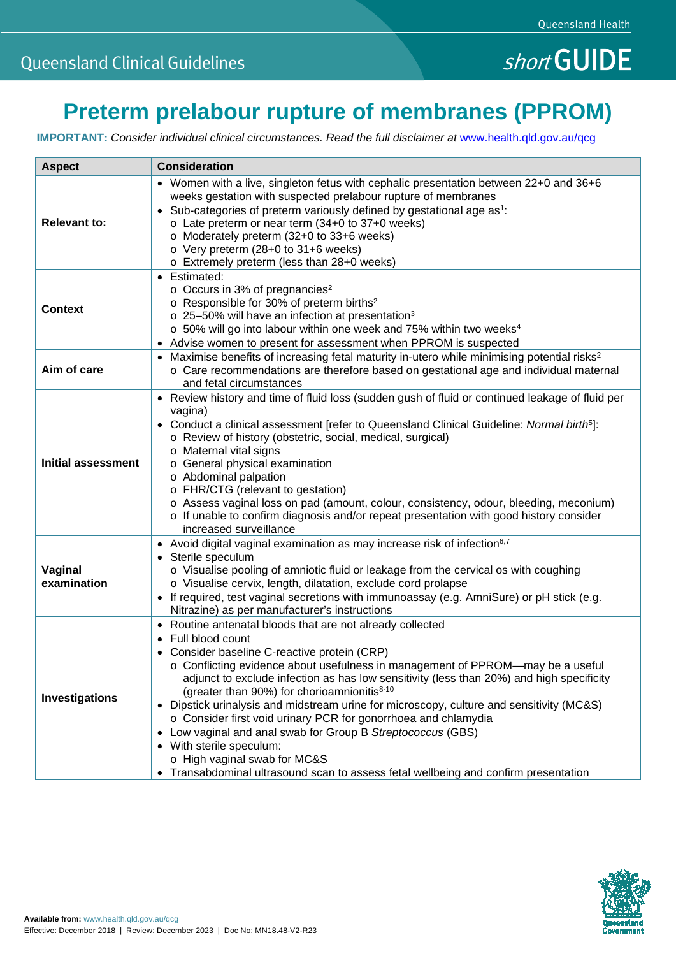# **Preterm prelabour rupture of membranes (PPROM)**

**IMPORTANT:** Consider individual clinical circumstances. Read the full disclaimer at [www.health.qld.gov.au/qcg](http://www.health.qld.gov.au/qcg)

| <b>Aspect</b>             | <b>Consideration</b>                                                                                                                                                                                                                                                                                                                                                                                                                                                                                                                                                                                                                                                                                                                                                  |
|---------------------------|-----------------------------------------------------------------------------------------------------------------------------------------------------------------------------------------------------------------------------------------------------------------------------------------------------------------------------------------------------------------------------------------------------------------------------------------------------------------------------------------------------------------------------------------------------------------------------------------------------------------------------------------------------------------------------------------------------------------------------------------------------------------------|
| <b>Relevant to:</b>       | • Women with a live, singleton fetus with cephalic presentation between 22+0 and 36+6<br>weeks gestation with suspected prelabour rupture of membranes<br>• Sub-categories of preterm variously defined by gestational age as <sup>1</sup> :<br>o Late preterm or near term (34+0 to 37+0 weeks)<br>o Moderately preterm (32+0 to 33+6 weeks)<br>o Very preterm (28+0 to 31+6 weeks)<br>o Extremely preterm (less than 28+0 weeks)                                                                                                                                                                                                                                                                                                                                    |
| <b>Context</b>            | • Estimated:<br>$\circ$ Occurs in 3% of pregnancies <sup>2</sup><br>o Responsible for 30% of preterm births <sup>2</sup><br>$\circ$ 25-50% will have an infection at presentation <sup>3</sup><br>o 50% will go into labour within one week and 75% within two weeks <sup>4</sup><br>• Advise women to present for assessment when PPROM is suspected                                                                                                                                                                                                                                                                                                                                                                                                                 |
| Aim of care               | • Maximise benefits of increasing fetal maturity in-utero while minimising potential risks <sup>2</sup><br>○ Care recommendations are therefore based on gestational age and individual maternal<br>and fetal circumstances                                                                                                                                                                                                                                                                                                                                                                                                                                                                                                                                           |
| <b>Initial assessment</b> | • Review history and time of fluid loss (sudden gush of fluid or continued leakage of fluid per<br>vagina)<br>• Conduct a clinical assessment [refer to Queensland Clinical Guideline: Normal birth <sup>5</sup> ]:<br>o Review of history (obstetric, social, medical, surgical)<br>o Maternal vital signs<br>o General physical examination<br>o Abdominal palpation<br>o FHR/CTG (relevant to gestation)<br>o Assess vaginal loss on pad (amount, colour, consistency, odour, bleeding, meconium)<br>$\circ$ If unable to confirm diagnosis and/or repeat presentation with good history consider<br>increased surveillance                                                                                                                                        |
| Vaginal<br>examination    | • Avoid digital vaginal examination as may increase risk of infection <sup>6,7</sup><br>• Sterile speculum<br>o Visualise pooling of amniotic fluid or leakage from the cervical os with coughing<br>o Visualise cervix, length, dilatation, exclude cord prolapse<br>• If required, test vaginal secretions with immunoassay (e.g. AmniSure) or pH stick (e.g.<br>Nitrazine) as per manufacturer's instructions                                                                                                                                                                                                                                                                                                                                                      |
| Investigations            | • Routine antenatal bloods that are not already collected<br>Full blood count<br>• Consider baseline C-reactive protein (CRP)<br>$\circ$ Conflicting evidence about usefulness in management of PPROM—may be a useful<br>adjunct to exclude infection as has low sensitivity (less than 20%) and high specificity<br>(greater than 90%) for chorioamnionitis <sup>8-10</sup><br>• Dipstick urinalysis and midstream urine for microscopy, culture and sensitivity (MC&S)<br>o Consider first void urinary PCR for gonorrhoea and chlamydia<br>Low vaginal and anal swab for Group B Streptococcus (GBS)<br>$\bullet$<br>• With sterile speculum:<br>o High vaginal swab for MC&S<br>Transabdominal ultrasound scan to assess fetal wellbeing and confirm presentation |

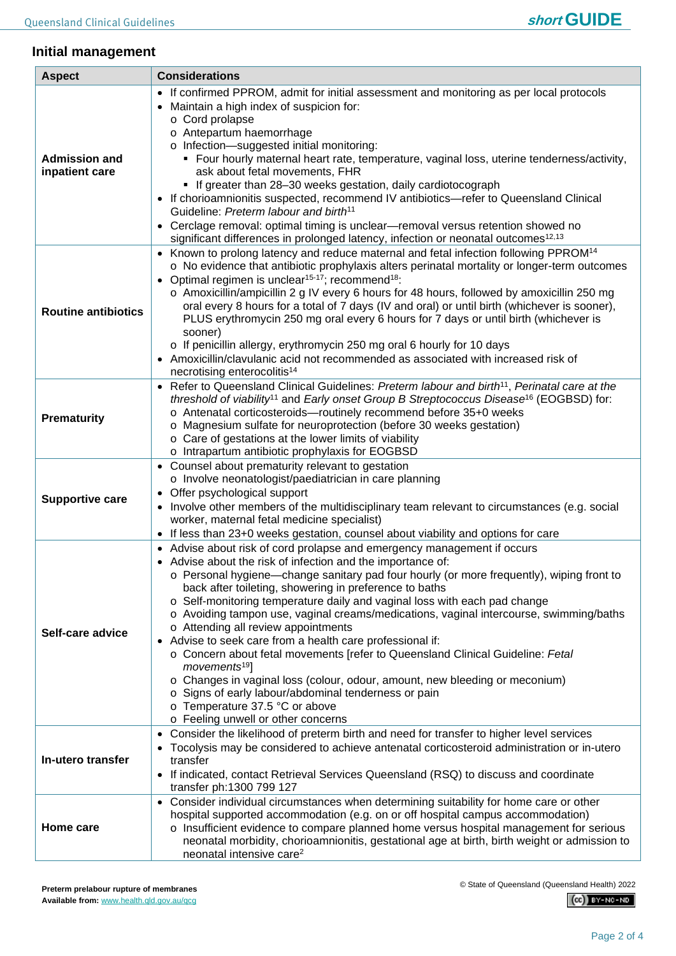

## **Initial management**

| <b>Aspect</b>                          | <b>Considerations</b>                                                                                                                                                                                                                                                                                                                                                                                                                                                                                                                                                                                                                                                                                                                                                                                                                                                                               |
|----------------------------------------|-----------------------------------------------------------------------------------------------------------------------------------------------------------------------------------------------------------------------------------------------------------------------------------------------------------------------------------------------------------------------------------------------------------------------------------------------------------------------------------------------------------------------------------------------------------------------------------------------------------------------------------------------------------------------------------------------------------------------------------------------------------------------------------------------------------------------------------------------------------------------------------------------------|
| <b>Admission and</b><br>inpatient care | • If confirmed PPROM, admit for initial assessment and monitoring as per local protocols<br>Maintain a high index of suspicion for:<br>o Cord prolapse<br>o Antepartum haemorrhage<br>o Infection-suggested initial monitoring:<br>• Four hourly maternal heart rate, temperature, vaginal loss, uterine tenderness/activity,<br>ask about fetal movements, FHR<br>• If greater than 28-30 weeks gestation, daily cardiotocograph<br>• If chorioamnionitis suspected, recommend IV antibiotics-refer to Queensland Clinical<br>Guideline: Preterm labour and birth <sup>11</sup><br>• Cerclage removal: optimal timing is unclear-removal versus retention showed no<br>significant differences in prolonged latency, infection or neonatal outcomes <sup>12,13</sup>                                                                                                                               |
| <b>Routine antibiotics</b>             | • Known to prolong latency and reduce maternal and fetal infection following PPROM <sup>14</sup><br>$\circ$ No evidence that antibiotic prophylaxis alters perinatal mortality or longer-term outcomes<br>Optimal regimen is unclear <sup>15-17</sup> ; recommend <sup>18</sup> :<br>o Amoxicillin/ampicillin 2 g IV every 6 hours for 48 hours, followed by amoxicillin 250 mg<br>oral every 8 hours for a total of 7 days (IV and oral) or until birth (whichever is sooner),<br>PLUS erythromycin 250 mg oral every 6 hours for 7 days or until birth (whichever is<br>sooner)<br>o If penicillin allergy, erythromycin 250 mg oral 6 hourly for 10 days<br>Amoxicillin/clavulanic acid not recommended as associated with increased risk of<br>necrotising enterocolitis <sup>14</sup>                                                                                                          |
| <b>Prematurity</b>                     | Refer to Queensland Clinical Guidelines: Preterm labour and birth <sup>11</sup> , Perinatal care at the<br>threshold of viability <sup>11</sup> and Early onset Group B Streptococcus Disease <sup>16</sup> (EOGBSD) for:<br>o Antenatal corticosteroids-routinely recommend before 35+0 weeks<br>o Magnesium sulfate for neuroprotection (before 30 weeks gestation)<br>o Care of gestations at the lower limits of viability<br>o Intrapartum antibiotic prophylaxis for EOGBSD                                                                                                                                                                                                                                                                                                                                                                                                                   |
| <b>Supportive care</b>                 | Counsel about prematurity relevant to gestation<br>o Involve neonatologist/paediatrician in care planning<br>Offer psychological support<br>Involve other members of the multidisciplinary team relevant to circumstances (e.g. social<br>worker, maternal fetal medicine specialist)<br>If less than 23+0 weeks gestation, counsel about viability and options for care                                                                                                                                                                                                                                                                                                                                                                                                                                                                                                                            |
| Self-care advice                       | • Advise about risk of cord prolapse and emergency management if occurs<br>• Advise about the risk of infection and the importance of:<br>o Personal hygiene—change sanitary pad four hourly (or more frequently), wiping front to<br>back after toileting, showering in preference to baths<br>o Self-monitoring temperature daily and vaginal loss with each pad change<br>o Avoiding tampon use, vaginal creams/medications, vaginal intercourse, swimming/baths<br>o Attending all review appointments<br>Advise to seek care from a health care professional if:<br>o Concern about fetal movements [refer to Queensland Clinical Guideline: Fetal<br>movements <sup>19</sup> ]<br>o Changes in vaginal loss (colour, odour, amount, new bleeding or meconium)<br>o Signs of early labour/abdominal tenderness or pain<br>o Temperature 37.5 °C or above<br>o Feeling unwell or other concerns |
| In-utero transfer                      | Consider the likelihood of preterm birth and need for transfer to higher level services<br>Tocolysis may be considered to achieve antenatal corticosteroid administration or in-utero<br>transfer<br>If indicated, contact Retrieval Services Queensland (RSQ) to discuss and coordinate<br>transfer ph:1300 799 127                                                                                                                                                                                                                                                                                                                                                                                                                                                                                                                                                                                |
| Home care                              | Consider individual circumstances when determining suitability for home care or other<br>hospital supported accommodation (e.g. on or off hospital campus accommodation)<br>o Insufficient evidence to compare planned home versus hospital management for serious<br>neonatal morbidity, chorioamnionitis, gestational age at birth, birth weight or admission to<br>neonatal intensive care <sup>2</sup>                                                                                                                                                                                                                                                                                                                                                                                                                                                                                          |

© State of Queensland (Queensland Health) 2022

 $(Cc)$  BY-NC-ND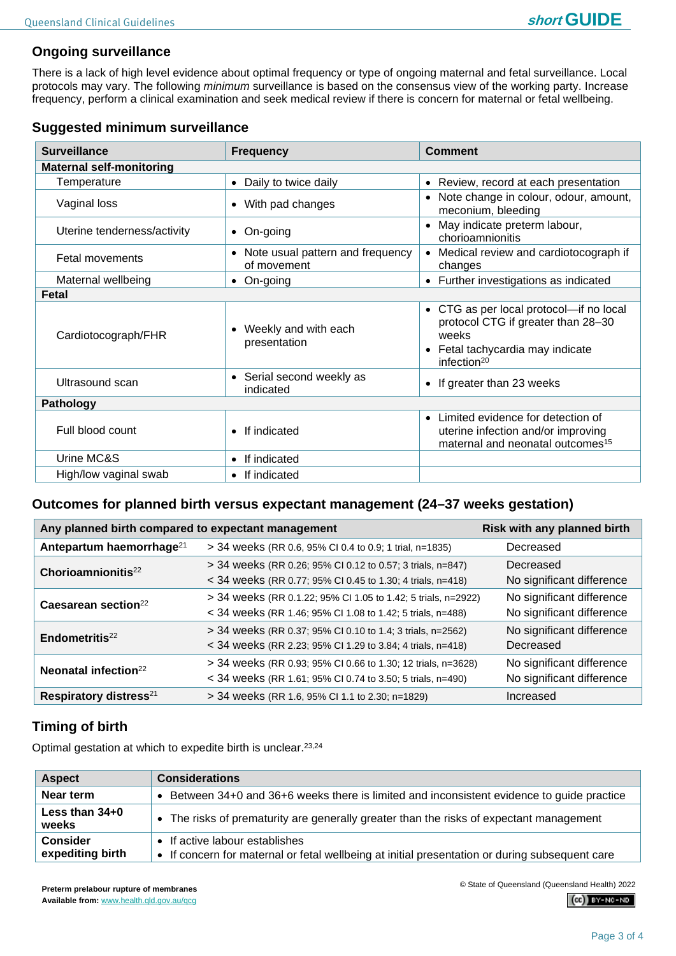## **Ongoing surveillance**

There is a lack of high level evidence about optimal frequency or type of ongoing maternal and fetal surveillance. Local protocols may vary. The following *minimum* surveillance is based on the consensus view of the working party. Increase frequency, perform a clinical examination and seek medical review if there is concern for maternal or fetal wellbeing.

| <b>Surveillance</b>             | <b>Frequency</b>                                             | <b>Comment</b>                                                                                                                             |  |  |  |
|---------------------------------|--------------------------------------------------------------|--------------------------------------------------------------------------------------------------------------------------------------------|--|--|--|
| <b>Maternal self-monitoring</b> |                                                              |                                                                                                                                            |  |  |  |
| Temperature                     | Daily to twice daily<br>$\bullet$                            | • Review, record at each presentation                                                                                                      |  |  |  |
| Vaginal loss                    | With pad changes<br>$\bullet$                                | Note change in colour, odour, amount,<br>$\bullet$<br>meconium, bleeding                                                                   |  |  |  |
| Uterine tenderness/activity     | On-going<br>$\bullet$                                        | May indicate preterm labour,<br>$\bullet$<br>chorioamnionitis                                                                              |  |  |  |
| <b>Fetal movements</b>          | Note usual pattern and frequency<br>$\bullet$<br>of movement | Medical review and cardiotocograph if<br>$\bullet$<br>changes                                                                              |  |  |  |
| Maternal wellbeing              | On-going                                                     | • Further investigations as indicated                                                                                                      |  |  |  |
| Fetal                           |                                                              |                                                                                                                                            |  |  |  |
| Cardiotocograph/FHR             | Weekly and with each<br>presentation                         | • CTG as per local protocol-if no local<br>protocol CTG if greater than 28-30<br>weeks<br>Fetal tachycardia may indicate<br>infection $20$ |  |  |  |
| Ultrasound scan                 | Serial second weekly as<br>$\bullet$<br>indicated            | • If greater than 23 weeks                                                                                                                 |  |  |  |
| Pathology                       |                                                              |                                                                                                                                            |  |  |  |
| Full blood count                | If indicated                                                 | Limited evidence for detection of<br>$\bullet$<br>uterine infection and/or improving<br>maternal and neonatal outcomes <sup>15</sup>       |  |  |  |
| Urine MC&S                      | If indicated                                                 |                                                                                                                                            |  |  |  |
| High/low vaginal swab           | If indicated<br>$\bullet$                                    |                                                                                                                                            |  |  |  |

#### **Outcomes for planned birth versus expectant management (24–37 weeks gestation)**

| Any planned birth compared to expectant management | Risk with any planned birth                                                                                                 |                                                        |
|----------------------------------------------------|-----------------------------------------------------------------------------------------------------------------------------|--------------------------------------------------------|
| Antepartum haemorrhage <sup>21</sup>               | > 34 weeks (RR 0.6, 95% CI 0.4 to 0.9; 1 trial, n=1835)                                                                     | Decreased                                              |
| Chorioamnionitis <sup>22</sup>                     | > 34 weeks (RR 0.26; 95% CI 0.12 to 0.57; 3 trials, n=847)<br>< 34 weeks (RR 0.77; 95% CI 0.45 to 1.30; 4 trials, n=418)    | Decreased<br>No significant difference                 |
| Caesarean section <sup>22</sup>                    | > 34 weeks (RR 0.1.22; 95% CI 1.05 to 1.42; 5 trials, n=2922)<br>< 34 weeks (RR 1.46; 95% CI 1.08 to 1.42; 5 trials, n=488) | No significant difference<br>No significant difference |
| Endometritis $^{22}$                               | > 34 weeks (RR 0.37; 95% CI 0.10 to 1.4; 3 trials, n=2562)<br>< 34 weeks (RR 2.23; 95% CI 1.29 to 3.84; 4 trials, n=418)    | No significant difference<br>Decreased                 |
| Neonatal infection <sup>22</sup>                   | > 34 weeks (RR 0.93; 95% CI 0.66 to 1.30; 12 trials, n=3628)<br>< 34 weeks (RR 1.61; 95% CI 0.74 to 3.50; 5 trials, n=490)  | No significant difference<br>No significant difference |
| Respiratory distress <sup>21</sup>                 | > 34 weeks (RR 1.6, 95% CI 1.1 to 2.30; n=1829)                                                                             | Increased                                              |

# **Timing of birth**

Optimal gestation at which to expedite birth is unclear.23,24

| <b>Aspect</b>                       | <b>Considerations</b>                                                                                                            |
|-------------------------------------|----------------------------------------------------------------------------------------------------------------------------------|
| Near term                           | Between 34+0 and 36+6 weeks there is limited and inconsistent evidence to guide practice                                         |
| Less than $34+0$<br>weeks           | • The risks of prematurity are generally greater than the risks of expectant management                                          |
| <b>Consider</b><br>expediting birth | • If active labour establishes<br>• If concern for maternal or fetal wellbeing at initial presentation or during subsequent care |

© State of Queensland (Queensland Health) 2022

 $(C<sub>c</sub>)$  BY-NC-ND